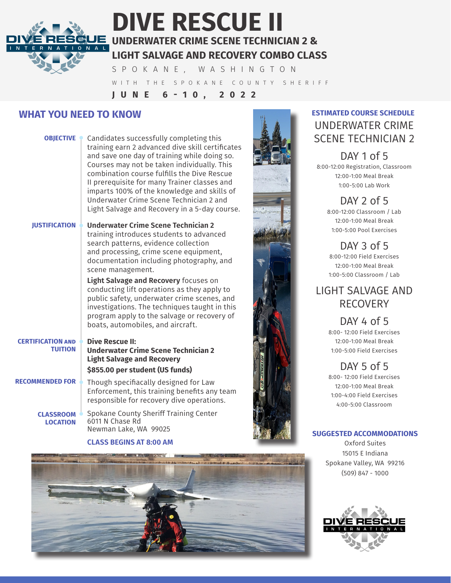# J =

# **DIVE RESCUE II UNDERWATER CRIME SCENE TECHNICIAN 2 & LIGHT SALVAGE AND RECOVERY COMBO CLASS**

SPOKANE, WASHINGTON WITH THE SPOKANE COUNTY SHERIFF **JUNE 6-10, 2022**

### **WHAT YOU NEED TO KNOW**

|                                            | <b>OBJECTIVE</b> Candidates successfully completing this<br>training earn 2 advanced dive skill certificates<br>and save one day of training while doing so.<br>Courses may not be taken individually. This<br>combination course fulfills the Dive Rescue<br>Il prerequisite for many Trainer classes and<br>imparts 100% of the knowledge and skills of<br>Underwater Crime Scene Technician 2 and<br>Light Salvage and Recovery in a 5-day course. |
|--------------------------------------------|-------------------------------------------------------------------------------------------------------------------------------------------------------------------------------------------------------------------------------------------------------------------------------------------------------------------------------------------------------------------------------------------------------------------------------------------------------|
| <b>JUSTIFICATION</b> $\triangle$           | Underwater Crime Scene Technician 2<br>training introduces students to advanced<br>search patterns, evidence collection<br>and processing, crime scene equipment,<br>documentation including photography, and<br>scene management.                                                                                                                                                                                                                    |
|                                            | Light Salvage and Recovery focuses on<br>conducting lift operations as they apply to<br>public safety, underwater crime scenes, and<br>investigations. The techniques taught in this<br>program apply to the salvage or recovery of<br>boats, automobiles, and aircraft.                                                                                                                                                                              |
| <b>CERTIFICATION AND</b><br><b>TUITION</b> | <b>Dive Rescue II:</b><br><b>Underwater Crime Scene Technician 2</b><br><b>Light Salvage and Recovery</b><br>\$855.00 per student (US funds)                                                                                                                                                                                                                                                                                                          |
| RECOMMENDED FOR                            | Though specifiacally designed for Law<br>Enforcement, this training benefits any team<br>responsible for recovery dive operations.                                                                                                                                                                                                                                                                                                                    |
| <b>CLASSROOM</b><br><b>LOCATION</b>        | Spokane County Sheriff Training Center<br>6011 N Chase Rd<br>Newman Lake, WA 99025                                                                                                                                                                                                                                                                                                                                                                    |

**CLASS BEGINS AT 8:00 AM**



## UNDERWATER CRIME SCENE TECHNICIAN 2 **ESTIMATED COURSE SCHEDULE**

#### DAY 1 of 5 8:00-12:00 Registration, Classroom 12:00-1:00 Meal Break 1:00-5:00 Lab Work

DAY 2 of 5 8:00-12:00 Classroom / Lab 12:00-1:00 Meal Break 1:00-5:00 Pool Exercises

DAY 3 of 5 8:00-12:00 Field Exercises 12:00-1:00 Meal Break 1:00-5:00 Classroom / Lab

## LIGHT SALVAGE AND RECOVERY

DAY 4 of 5 8:00- 12:00 Field Exercises 12:00-1:00 Meal Break 1:00-5:00 Field Exercises

DAY 5 of 5 8:00- 12:00 Field Exercises 12:00-1:00 Meal Break 1:00-4:00 Field Exercises 4:00-5:00 Classroom

#### **SUGGESTED ACCOMMODATIONS**

Oxford Suites 15015 E Indiana Spokane Valley, WA 99216 (509) 847 - 1000